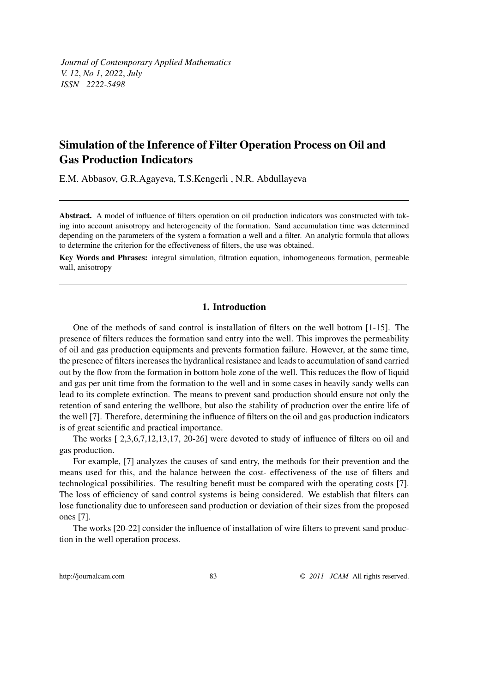# Simulation of the Inference of Filter Operation Process on Oil and Gas Production Indicators

E.M. Abbasov, G.R.Agayeva, T.S.Kengerli , N.R. Abdullayeva

Abstract. A model of influence of filters operation on oil production indicators was constructed with taking into account anisotropy and heterogeneity of the formation. Sand accumulation time was determined depending on the parameters of the system a formation a well and a filter. An analytic formula that allows to determine the criterion for the effectiveness of filters, the use was obtained.

Key Words and Phrases: integral simulation, filtration equation, inhomogeneous formation, permeable wall, anisotropy

## 1. Introduction

One of the methods of sand control is installation of filters on the well bottom [1-15]. The presence of filters reduces the formation sand entry into the well. This improves the permeability of oil and gas production equipments and prevents formation failure. However, at the same time, the presence of filters increases the hydranlical resistance and leads to accumulation of sand carried out by the flow from the formation in bottom hole zone of the well. This reduces the flow of liquid and gas per unit time from the formation to the well and in some cases in heavily sandy wells can lead to its complete extinction. The means to prevent sand production should ensure not only the retention of sand entering the wellbore, but also the stability of production over the entire life of the well [7]. Therefore, determining the influence of filters on the oil and gas production indicators is of great scientific and practical importance.

The works [ 2,3,6,7,12,13,17, 20-26] were devoted to study of influence of filters on oil and gas production.

For example, [7] analyzes the causes of sand entry, the methods for their prevention and the means used for this, and the balance between the cost- effectiveness of the use of filters and technological possibilities. The resulting benefit must be compared with the operating costs [7]. The loss of efficiency of sand control systems is being considered. We establish that filters can lose functionality due to unforeseen sand production or deviation of their sizes from the proposed ones [7].

The works [20-22] consider the influence of installation of wire filters to prevent sand production in the well operation process.

http://journalcam.com 83 © 2011 JCAM All rights reserved.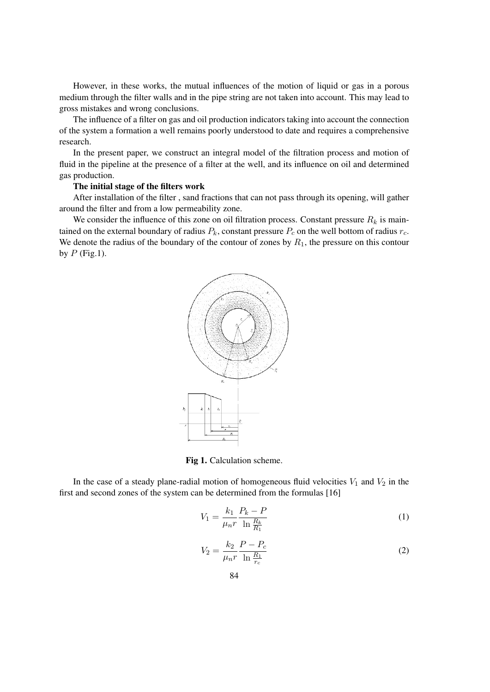However, in these works, the mutual influences of the motion of liquid or gas in a porous medium through the filter walls and in the pipe string are not taken into account. This may lead to gross mistakes and wrong conclusions.

The influence of a filter on gas and oil production indicators taking into account the connection of the system a formation a well remains poorly understood to date and requires a comprehensive research.

In the present paper, we construct an integral model of the filtration process and motion of fluid in the pipeline at the presence of a filter at the well, and its influence on oil and determined gas production.

#### The initial stage of the filters work

After installation of the filter , sand fractions that can not pass through its opening, will gather around the filter and from a low permeability zone.

We consider the influence of this zone on oil filtration process. Constant pressure  $R_k$  is maintained on the external boundary of radius  $P_k$ , constant pressure  $P_c$  on the well bottom of radius  $r_c$ . We denote the radius of the boundary of the contour of zones by  $R_1$ , the pressure on this contour by  $P$  (Fig.1).



Fig 1. Calculation scheme.

In the case of a steady plane-radial motion of homogeneous fluid velocities  $V_1$  and  $V_2$  in the first and second zones of the system can be determined from the formulas [16]

$$
V_1 = \frac{k_1}{\mu_n r} \frac{P_k - P}{\ln \frac{R_k}{R_1}}
$$
\n
$$
\tag{1}
$$

$$
V_2 = \frac{k_2}{\mu_n r} \frac{P - P_c}{\ln \frac{R_1}{r_c}}\tag{2}
$$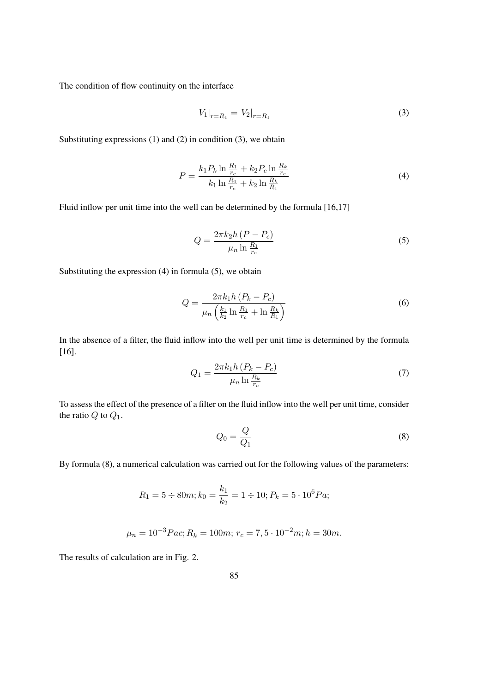The condition of flow continuity on the interface

$$
V_1|_{r=R_1} = V_2|_{r=R_1} \tag{3}
$$

Substituting expressions  $(1)$  and  $(2)$  in condition  $(3)$ , we obtain

$$
P = \frac{k_1 P_k \ln \frac{R_1}{r_c} + k_2 P_c \ln \frac{R_k}{r_c}}{k_1 \ln \frac{R_1}{r_c} + k_2 \ln \frac{R_k}{R_1}}
$$
(4)

Fluid inflow per unit time into the well can be determined by the formula [16,17]

$$
Q = \frac{2\pi k_2 h \left(P - P_c\right)}{\mu_n \ln \frac{R_1}{r_c}}
$$
\n
$$
\tag{5}
$$

Substituting the expression (4) in formula (5), we obtain

$$
Q = \frac{2\pi k_1 h (P_k - P_c)}{\mu_n \left(\frac{k_1}{k_2} \ln \frac{R_1}{r_c} + \ln \frac{R_k}{R_1}\right)}
$$
(6)

In the absence of a filter, the fluid inflow into the well per unit time is determined by the formula [16].

$$
Q_1 = \frac{2\pi k_1 h (P_k - P_c)}{\mu_n \ln \frac{R_k}{r_c}}
$$
(7)

To assess the effect of the presence of a filter on the fluid inflow into the well per unit time, consider the ratio  $Q$  to  $Q_1$ .

$$
Q_0 = \frac{Q}{Q_1} \tag{8}
$$

By formula (8), a numerical calculation was carried out for the following values of the parameters:

$$
R_1 = 5 \div 80m; k_0 = \frac{k_1}{k_2} = 1 \div 10; P_k = 5 \cdot 10^6 Pa;
$$

$$
\mu_n = 10^{-3} Pac; R_k = 100m; r_c = 7, 5 \cdot 10^{-2} m; h = 30m.
$$

The results of calculation are in Fig. 2.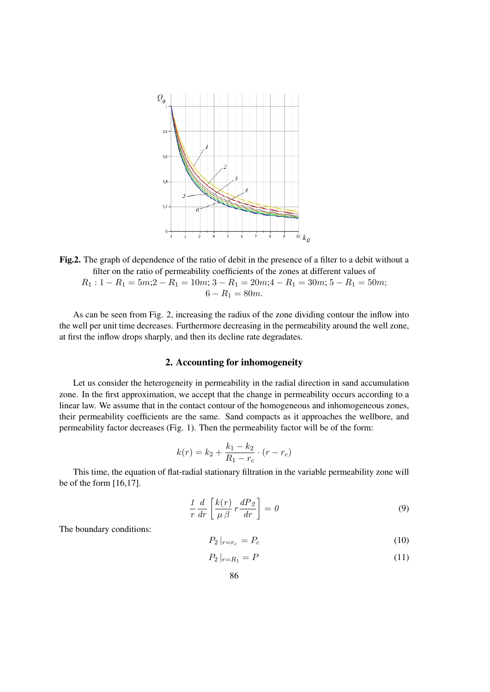

Fig.2. The graph of dependence of the ratio of debit in the presence of a filter to a debit without a filter on the ratio of permeability coefficients of the zones at different values of  $R_1: 1 - R_1 = 5m; 2 - R_1 = 10m; 3 - R_1 = 20m; 4 - R_1 = 30m; 5 - R_1 = 50m;$  $6 - R_1 = 80m$ .

As can be seen from Fig. 2, increasing the radius of the zone dividing contour the inflow into the well per unit time decreases. Furthermore decreasing in the permeability around the well zone, at first the inflow drops sharply, and then its decline rate degradates.

### 2. Accounting for inhomogeneity

Let us consider the heterogeneity in permeability in the radial direction in sand accumulation zone. In the first approximation, we accept that the change in permeability occurs according to a linear law. We assume that in the contact contour of the homogeneous and inhomogeneous zones, their permeability coefficients are the same. Sand compacts as it approaches the wellbore, and permeability factor decreases (Fig. 1). Then the permeability factor will be of the form:

$$
k(r) = k_2 + \frac{k_1 - k_2}{R_1 - r_c} \cdot (r - r_c)
$$

This time, the equation of flat-radial stationary filtration in the variable permeability zone will be of the form [16,17].

$$
\frac{1}{r}\frac{d}{dr}\left[\frac{k(r)}{\mu\beta}r\frac{dP_{\mathcal{Z}}}{dr}\right] = 0\tag{9}
$$

The boundary conditions:

$$
P_2|_{r=r_c} = P_c \tag{10}
$$

$$
P_2|_{r=R_1} = P \tag{11}
$$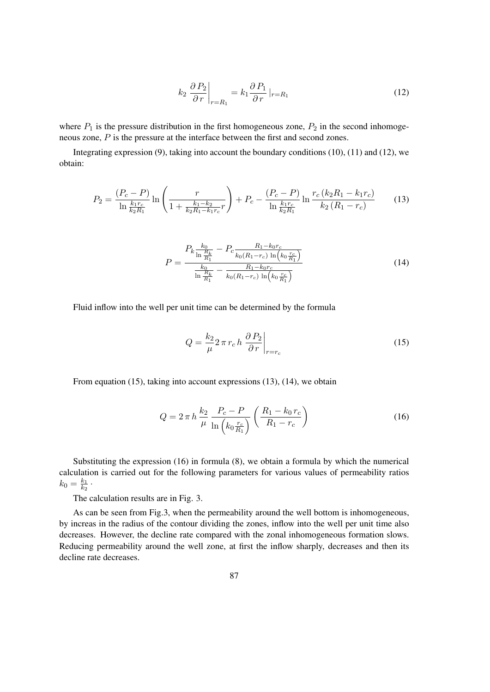$$
k_2 \left. \frac{\partial P_2}{\partial r} \right|_{r=R_1} = k_1 \frac{\partial P_1}{\partial r} \left|_{r=R_1} \right. \tag{12}
$$

where  $P_1$  is the pressure distribution in the first homogeneous zone,  $P_2$  in the second inhomogeneous zone, P is the pressure at the interface between the first and second zones.

Integrating expression (9), taking into account the boundary conditions (10), (11) and (12), we obtain:

$$
P_2 = \frac{(P_c - P)}{\ln \frac{k_1 r_c}{k_2 R_1}} \ln \left( \frac{r}{1 + \frac{k_1 - k_2}{k_2 R_1 - k_1 r_c} r} \right) + P_c - \frac{(P_c - P)}{\ln \frac{k_1 r_c}{k_2 R_1}} \ln \frac{r_c (k_2 R_1 - k_1 r_c)}{k_2 (R_1 - r_c)}
$$
(13)

$$
P = \frac{P_k \frac{k_0}{\ln \frac{R_k}{R_1}} - P_c \frac{R_1 - k_0 r_c}{k_0 (R_1 - r_c) \ln \left(k_0 \frac{r_c}{R_1}\right)}}{\frac{k_0}{\ln \frac{R_k}{R_1}} - \frac{R_1 - k_0 r_c}{k_0 (R_1 - r_c) \ln \left(k_0 \frac{r_c}{R_1}\right)}}
$$
(14)

Fluid inflow into the well per unit time can be determined by the formula

$$
Q = \frac{k_2}{\mu} 2 \pi r_c h \left. \frac{\partial P_2}{\partial r} \right|_{r=r_c}
$$
 (15)

From equation (15), taking into account expressions (13), (14), we obtain

$$
Q = 2 \pi h \frac{k_2}{\mu} \frac{P_c - P}{\ln (k_0 \frac{r_c}{R_1})} \left( \frac{R_1 - k_0 r_c}{R_1 - r_c} \right)
$$
(16)

Substituting the expression (16) in formula (8), we obtain a formula by which the numerical calculation is carried out for the following parameters for various values of permeability ratios  $k_0 = \frac{k_1}{k_2}$  $\frac{k_1}{k_2}$  .

The calculation results are in Fig. 3.

As can be seen from Fig.3, when the permeability around the well bottom is inhomogeneous, by increas in the radius of the contour dividing the zones, inflow into the well per unit time also decreases. However, the decline rate compared with the zonal inhomogeneous formation slows. Reducing permeability around the well zone, at first the inflow sharply, decreases and then its decline rate decreases.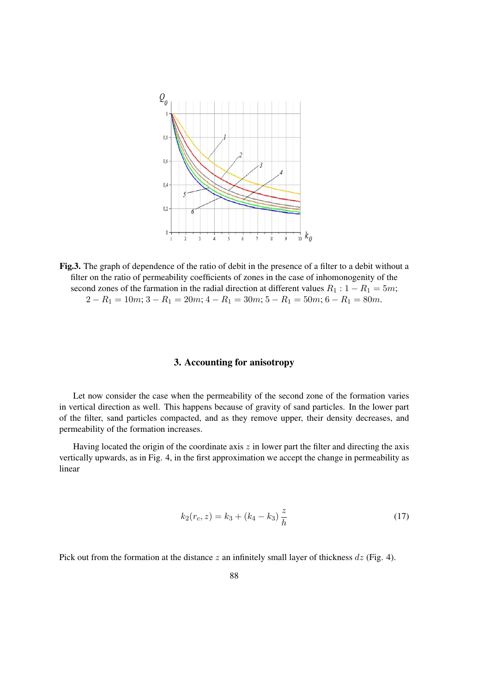

Fig.3. The graph of dependence of the ratio of debit in the presence of a filter to a debit without a filter on the ratio of permeability coefficients of zones in the case of inhomonogenity of the second zones of the farmation in the radial direction at different values  $R_1$  :  $1 - R_1 = 5m$ ;  $2 - R_1 = 10m$ ;  $3 - R_1 = 20m$ ;  $4 - R_1 = 30m$ ;  $5 - R_1 = 50m$ ;  $6 - R_1 = 80m$ .

### 3. Accounting for anisotropy

Let now consider the case when the permeability of the second zone of the formation varies in vertical direction as well. This happens because of gravity of sand particles. In the lower part of the filter, sand particles compacted, and as they remove upper, their density decreases, and permeability of the formation increases.

Having located the origin of the coordinate axis  $z$  in lower part the filter and directing the axis vertically upwards, as in Fig. 4, in the first approximation we accept the change in permeability as linear

$$
k_2(r_c, z) = k_3 + (k_4 - k_3) \frac{z}{h}
$$
 (17)

Pick out from the formation at the distance z an infinitely small layer of thickness  $dz$  (Fig. 4).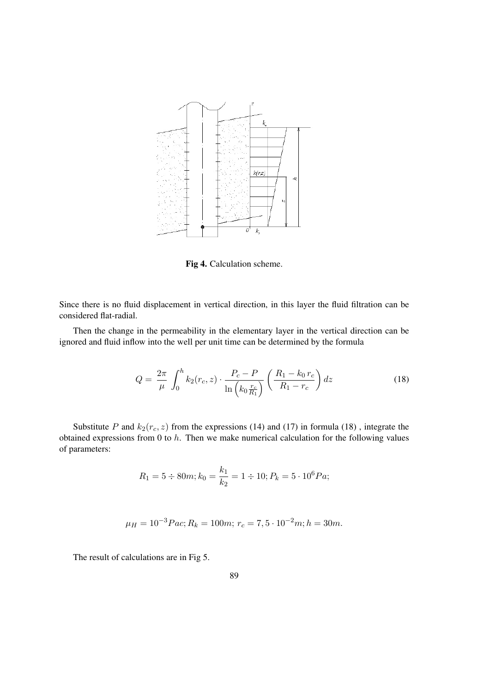

Fig 4. Calculation scheme.

Since there is no fluid displacement in vertical direction, in this layer the fluid filtration can be considered flat-radial.

Then the change in the permeability in the elementary layer in the vertical direction can be ignored and fluid inflow into the well per unit time can be determined by the formula

$$
Q = \frac{2\pi}{\mu} \int_0^h k_2(r_c, z) \cdot \frac{P_c - P}{\ln\left(k_0 \frac{r_c}{R_1}\right)} \left(\frac{R_1 - k_0 r_c}{R_1 - r_c}\right) dz \tag{18}
$$

Substitute P and  $k_2(r_c, z)$  from the expressions (14) and (17) in formula (18), integrate the obtained expressions from 0 to  $h$ . Then we make numerical calculation for the following values of parameters:

$$
R_1 = 5 \div 80m; k_0 = \frac{k_1}{k_2} = 1 \div 10; P_k = 5 \cdot 10^6 Pa;
$$

$$
\mu_H = 10^{-3} Pac; R_k = 100m; r_c = 7, 5 \cdot 10^{-2} m; h = 30m.
$$

The result of calculations are in Fig 5.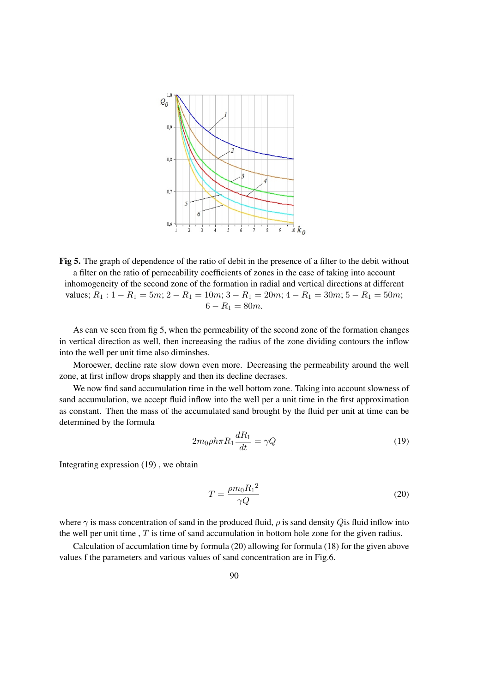

Fig 5. The graph of dependence of the ratio of debit in the presence of a filter to the debit without a filter on the ratio of pernecability coefficients of zones in the case of taking into account inhomogeneity of the second zone of the formation in radial and vertical directions at different values;  $R_1$ : 1 –  $R_1$  = 5m; 2 –  $R_1$  = 10m; 3 –  $R_1$  = 20m; 4 –  $R_1$  = 30m; 5 –  $R_1$  = 50m;  $6 - R_1 = 80m$ .

As can ve scen from fig 5, when the permeability of the second zone of the formation changes in vertical direction as well, then increeasing the radius of the zone dividing contours the inflow into the well per unit time also diminshes.

Moroewer, decline rate slow down even more. Decreasing the permeability around the well zone, at first inflow drops shapply and then its decline decrases.

We now find sand accumulation time in the well bottom zone. Taking into account slowness of sand accumulation, we accept fluid inflow into the well per a unit time in the first approximation as constant. Then the mass of the accumulated sand brought by the fluid per unit at time can be determined by the formula

$$
2m_0 \rho h \pi R_1 \frac{dR_1}{dt} = \gamma Q \tag{19}
$$

Integrating expression (19) , we obtain

$$
T = \frac{\rho m_0 R_1^2}{\gamma Q} \tag{20}
$$

where  $\gamma$  is mass concentration of sand in the produced fluid,  $\rho$  is sand density Q is fluid inflow into the well per unit time,  $T$  is time of sand accumulation in bottom hole zone for the given radius.

Calculation of accumlation time by formula (20) allowing for formula (18) for the given above values f the parameters and various values of sand concentration are in Fig.6.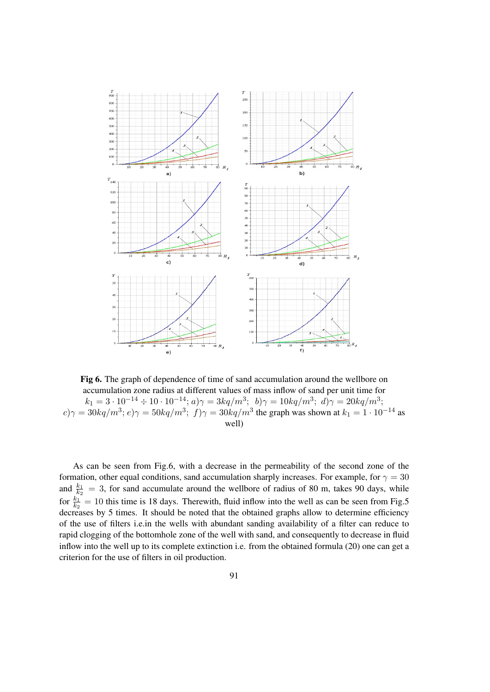

Fig 6. The graph of dependence of time of sand accumulation around the wellbore on accumulation zone radius at different values of mass inflow of sand per unit time for  $k_1 = 3 \cdot 10^{-14} \div 10 \cdot 10^{-14}$ ;  $a) \gamma = 3kq/m^3$ ;  $b) \gamma = 10kq/m^3$ ;  $d) \gamma = 20kq/m^3$ ;  $c$ ) $\gamma = 30kq/m^3$ ;  $e$ ) $\gamma = 50kq/m^3$ ;  $f$ ) $\gamma = 30kq/m^3$  the graph was shown at  $k_1 = 1 \cdot 10^{-14}$  as well)

As can be seen from Fig.6, with a decrease in the permeability of the second zone of the formation, other equal conditions, sand accumulation sharply increases. For example, for  $\gamma = 30$ and  $\frac{k_1}{k_2}$  = 3, for sand accumulate around the wellbore of radius of 80 m, takes 90 days, while for  $\frac{k_1}{k_2} = 10$  this time is 18 days. Therewith, fluid inflow into the well as can be seen from Fig.5 decreases by 5 times. It should be noted that the obtained graphs allow to determine efficiency of the use of filters i.e.in the wells with abundant sanding availability of a filter can reduce to rapid clogging of the bottomhole zone of the well with sand, and consequently to decrease in fluid inflow into the well up to its complete extinction i.e. from the obtained formula (20) one can get a criterion for the use of filters in oil production.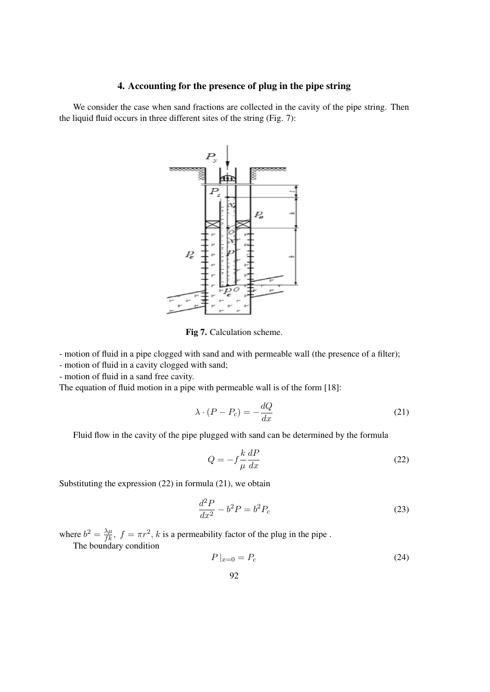## 4. Accounting for the presence of plug in the pipe string

We consider the case when sand fractions are collected in the cavity of the pipe string. Then the liquid fluid occurs in three different sites of the string (Fig. 7):



Fig 7. Calculation scheme.

- motion of fluid in a pipe clogged with sand and with permeable wall (the presence of a filter);

- motion of fluid in a cavity clogged with sand;

- motion of fluid in a sand free cavity.

The equation of fluid motion in a pipe with permeable wall is of the form [18]:

$$
\lambda \cdot (P - P_c) = -\frac{dQ}{dx} \tag{21}
$$

Fluid flow in the cavity of the pipe plugged with sand can be determined by the formula

$$
Q = -f \frac{k}{\mu} \frac{dP}{dx}
$$
 (22)

Substituting the expression (22) in formula (21), we obtain

$$
\frac{d^2P}{dx^2} - b^2P = b^2P_c
$$
\n
$$
(23)
$$

where  $b^2 = \frac{\lambda \mu}{f k}$ ,  $f = \pi r^2$ , k is a permeability factor of the plug in the pipe.

The boundary condition

$$
P\left|_{x=0} = P_c \right. \tag{24}
$$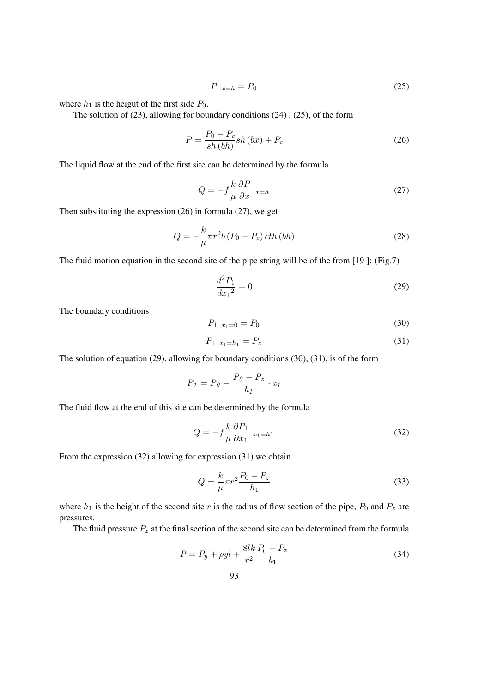$$
P\left|_{x=h} = P_0 \right. \tag{25}
$$

where  $h_1$  is the heigut of the first side  $P_0$ .

The solution of (23), allowing for boundary conditions (24) , (25), of the form

$$
P = \frac{P_0 - P_c}{sh(bh)} sh(bx) + P_c
$$
\n
$$
(26)
$$

The liquid flow at the end of the first site can be determined by the formula

$$
Q = -f \frac{k}{\mu} \frac{\partial P}{\partial x} \Big|_{x=h} \tag{27}
$$

Then substituting the expression (26) in formula (27), we get

$$
Q = -\frac{k}{\mu}\pi r^2 b \left( P_0 - P_c \right) \operatorname{cth} \left( bh \right) \tag{28}
$$

The fluid motion equation in the second site of the pipe string will be of the from [19 ]: (Fig.7)

$$
\frac{d^2P_1}{dx_1{}^2} = 0\tag{29}
$$

The boundary conditions

$$
P_1 \mid_{x_1 = 0} = P_0 \tag{30}
$$

$$
P_1 |_{x_1 = h_1} = P_z \tag{31}
$$

The solution of equation (29), allowing for boundary conditions (30), (31), is of the form

$$
P_1 = P_0 - \frac{P_0 - P_z}{h_1} \cdot x_1
$$

The fluid flow at the end of this site can be determined by the formula

$$
Q = -f \frac{k}{\mu} \frac{\partial P_1}{\partial x_1} \big|_{x_1 = h1} \tag{32}
$$

From the expression (32) allowing for expression (31) we obtain

$$
Q = \frac{k}{\mu} \pi r^2 \frac{P_0 - P_z}{h_1}
$$
\n(33)

where  $h_1$  is the height of the second site r is the radius of flow section of the pipe,  $P_0$  and  $P_z$  are pressures.

The fluid pressure  $P_z$  at the final section of the second site can be determined from the formula

$$
P = P_y + \rho g l + \frac{8lk}{r^2} \frac{P_0 - P_z}{h_1} \tag{34}
$$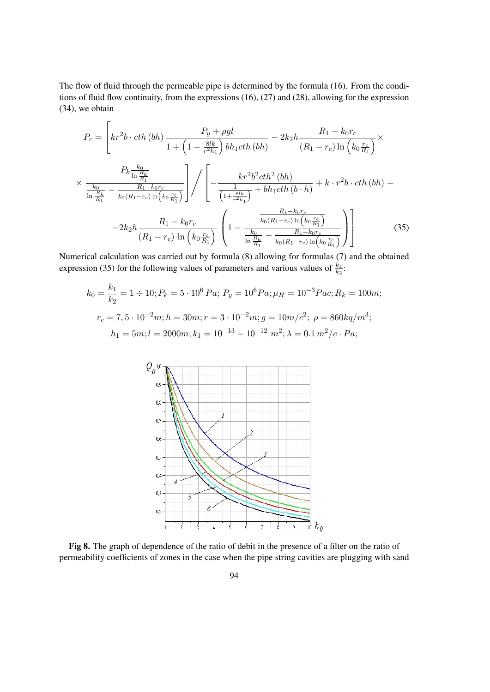The flow of fluid through the permeable pipe is determined by the formula (16). From the conditions of fluid flow continuity, from the expressions (16), (27) and (28), allowing for the expression (34), we obtain

$$
P_c = \left[kr^2b \cdot cth \ (bh) \frac{P_y + \rho gl}{1 + \left(1 + \frac{8lk}{r^2h_1}\right)bh_1cth \ (bh)} - 2k_2h \frac{R_1 - k_0r_c}{(R_1 - r_c)\ln\left(k_0\frac{r_c}{R_1}\right)} \times \frac{P_k \frac{k_0}{\ln\frac{R_k}{R_1}}}{\frac{k_0}{\ln\frac{R_k}{R_1}} - \frac{R_1 - k_0r_c}{k_0(R_1 - r_c)\ln\left(k_0\frac{r_c}{R_1}\right)}}\right] / \left[ -\frac{kr^2b^2cth^2 \ (bh)}{\frac{1}{\left(1 + \frac{8lk}{r^2h_1}\right)} + bh_1cth \ (b \cdot h)} + k \cdot r^2b \cdot cth \ (bh) - 2k_2h \frac{R_1 - k_0r_c}{(R_1 - r_c)\ln\left(k_0\frac{r_c}{R_1}\right)} \left(1 - \frac{\frac{R_1 - k_0r_c}{k_0(R_1 - r_c)\ln\left(k_0\frac{r_c}{R_1}\right)}}{\frac{k_0}{\ln\frac{R_k}{R_1}} - \frac{R_1 - k_0r_c}{k_0(R_1 - r_c)\ln\left(k_0\frac{r_c}{R_1}\right)}}\right) \right]
$$
(35)

Numerical calculation was carried out by formula (8) allowing for formulas (7) and the obtained expression (35) for the following values of parameters and various values of  $\frac{k_4}{k_3}$ .

$$
k_0 = \frac{k_1}{k_2} = 1 \div 10; P_k = 5 \cdot 10^6 \, Pa; P_y = 10^6 \, Pa; \mu_H = 10^{-3} \, Pa; R_k = 100 \, m; \nr_c = 7, 5 \cdot 10^{-2} \, m; h = 30 \, m; r = 3 \cdot 10^{-2} \, m; g = 10 \, m/c^2; \ \rho = 860 \, kq/m^3; \nh_1 = 5 \, m; l = 2000 \, m; k_1 = 10^{-13} - 10^{-12} \, m^2; \lambda = 0.1 \, m^2/c \cdot Pa;
$$



Fig 8. The graph of dependence of the ratio of debit in the presence of a filter on the ratio of permeability coefficients of zones in the case when the pipe string cavities are plugging with sand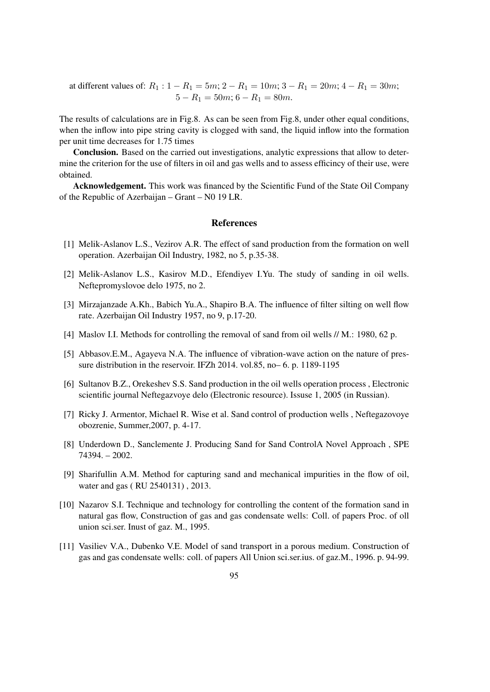at different values of:  $R_1$  :  $1 - R_1 = 5m$ ;  $2 - R_1 = 10m$ ;  $3 - R_1 = 20m$ ;  $4 - R_1 = 30m$ ;  $5 - R_1 = 50m$ ;  $6 - R_1 = 80m$ .

The results of calculations are in Fig.8. As can be seen from Fig.8, under other equal conditions, when the inflow into pipe string cavity is clogged with sand, the liquid inflow into the formation per unit time decreases for 1.75 times

Conclusion. Based on the carried out investigations, analytic expressions that allow to determine the criterion for the use of filters in oil and gas wells and to assess efficincy of their use, were obtained.

Acknowledgement. This work was financed by the Scientific Fund of the State Oil Company of the Republic of Azerbaijan – Grant – N0 19 LR.

#### References

- [1] Melik-Aslanov L.S., Vezirov A.R. The effect of sand production from the formation on well operation. Azerbaijan Oil Industry, 1982, no 5, p.35-38.
- [2] Melik-Aslanov L.S., Kasirov M.D., Efendiyev I.Yu. The study of sanding in oil wells. Neftepromyslovoe delo 1975, no 2.
- [3] Mirzajanzade A.Kh., Babich Yu.A., Shapiro B.A. The influence of filter silting on well flow rate. Azerbaijan Oil Industry 1957, no 9, p.17-20.
- [4] Maslov I.I. Methods for controlling the removal of sand from oil wells // M.: 1980, 62 p.
- [5] Abbasov.E.M., Agayeva N.A. The influence of vibration-wave action on the nature of pressure distribution in the reservoir. IFZh 2014. vol.85, no– 6. p. 1189-1195
- [6] Sultanov B.Z., Orekeshev S.S. Sand production in the oil wells operation process , Electronic scientific journal Neftegazvoye delo (Electronic resource). Issuse 1, 2005 (in Russian).
- [7] Ricky J. Armentor, Michael R. Wise et al. Sand control of production wells , Neftegazovoye obozrenie, Summer,2007, p. 4-17.
- [8] Underdown D., Sanclemente J. Producing Sand for Sand ControlA Novel Approach , SPE 74394. – 2002.
- [9] Sharifullin A.M. Method for capturing sand and mechanical impurities in the flow of oil, water and gas ( RU 2540131) , 2013.
- [10] Nazarov S.I. Technique and technology for controlling the content of the formation sand in natural gas flow, Construction of gas and gas condensate wells: Coll. of papers Proc. of oll union sci.ser. Inust of gaz. M., 1995.
- [11] Vasiliev V.A., Dubenko V.E. Model of sand transport in a porous medium. Construction of gas and gas condensate wells: coll. of papers All Union sci.ser.ius. of gaz.M., 1996. p. 94-99.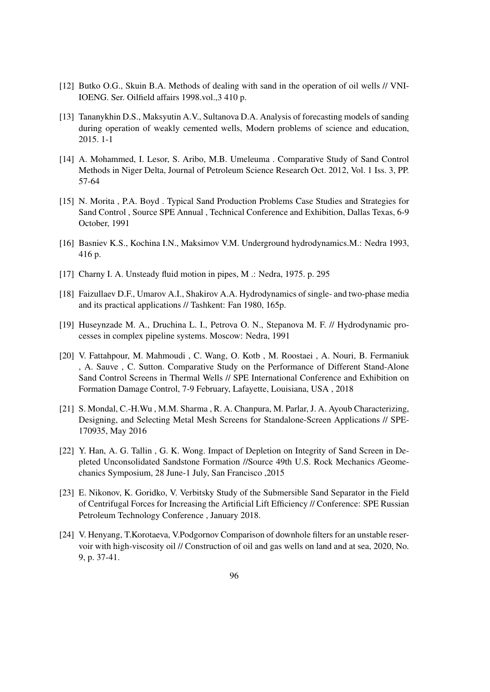- [12] Butko O.G., Skuin B.A. Methods of dealing with sand in the operation of oil wells // VNI-IOENG. Ser. Oilfield affairs 1998.vol.,3 410 p.
- [13] Tananykhin D.S., Maksyutin A.V., Sultanova D.A. Analysis of forecasting models of sanding during operation of weakly cemented wells, Modern problems of science and education, 2015. 1-1
- [14] A. Mohammed, I. Lesor, S. Aribo, M.B. Umeleuma . Comparative Study of Sand Control Methods in Niger Delta, Journal of Petroleum Science Research Oct. 2012, Vol. 1 Iss. 3, PP. 57-64
- [15] N. Morita , P.A. Boyd . Typical Sand Production Problems Case Studies and Strategies for Sand Control , Source SPE Annual , Technical Conference and Exhibition, Dallas Texas, 6-9 October, 1991
- [16] Basniev K.S., Kochina I.N., Maksimov V.M. Underground hydrodynamics.M.: Nedra 1993, 416 p.
- [17] Charny I. A. Unsteady fluid motion in pipes, M .: Nedra, 1975. p. 295
- [18] Faizullaev D.F., Umarov A.I., Shakirov A.A. Hydrodynamics of single- and two-phase media and its practical applications // Tashkent: Fan 1980, 165p.
- [19] Huseynzade M. A., Druchina L. I., Petrova O. N., Stepanova M. F. // Hydrodynamic processes in complex pipeline systems. Moscow: Nedra, 1991
- [20] V. Fattahpour, M. Mahmoudi , C. Wang, O. Kotb , M. Roostaei , A. Nouri, B. Fermaniuk , A. Sauve , C. Sutton. Comparative Study on the Performance of Different Stand-Alone Sand Control Screens in Thermal Wells // SPE International Conference and Exhibition on Formation Damage Control, 7-9 February, Lafayette, Louisiana, USA , 2018
- [21] S. Mondal, C.-H.Wu, M.M. Sharma, R. A. Chanpura, M. Parlar, J. A. Ayoub Characterizing, Designing, and Selecting Metal Mesh Screens for Standalone-Screen Applications // SPE-170935, May 2016
- [22] Y. Han, A. G. Tallin, G. K. Wong. Impact of Depletion on Integrity of Sand Screen in Depleted Unconsolidated Sandstone Formation //Source 49th U.S. Rock Mechanics /Geomechanics Symposium, 28 June-1 July, San Francisco ,2015
- [23] E. Nikonov, K. Goridko, V. Verbitsky Study of the Submersible Sand Separator in the Field of Centrifugal Forces for Increasing the Artificial Lift Efficiency // Conference: SPE Russian Petroleum Technology Conference , January 2018.
- [24] V. Henyang, T.Korotaeva, V.Podgornov Comparison of downhole filters for an unstable reservoir with high-viscosity oil // Construction of oil and gas wells on land and at sea, 2020, No. 9, p. 37-41.